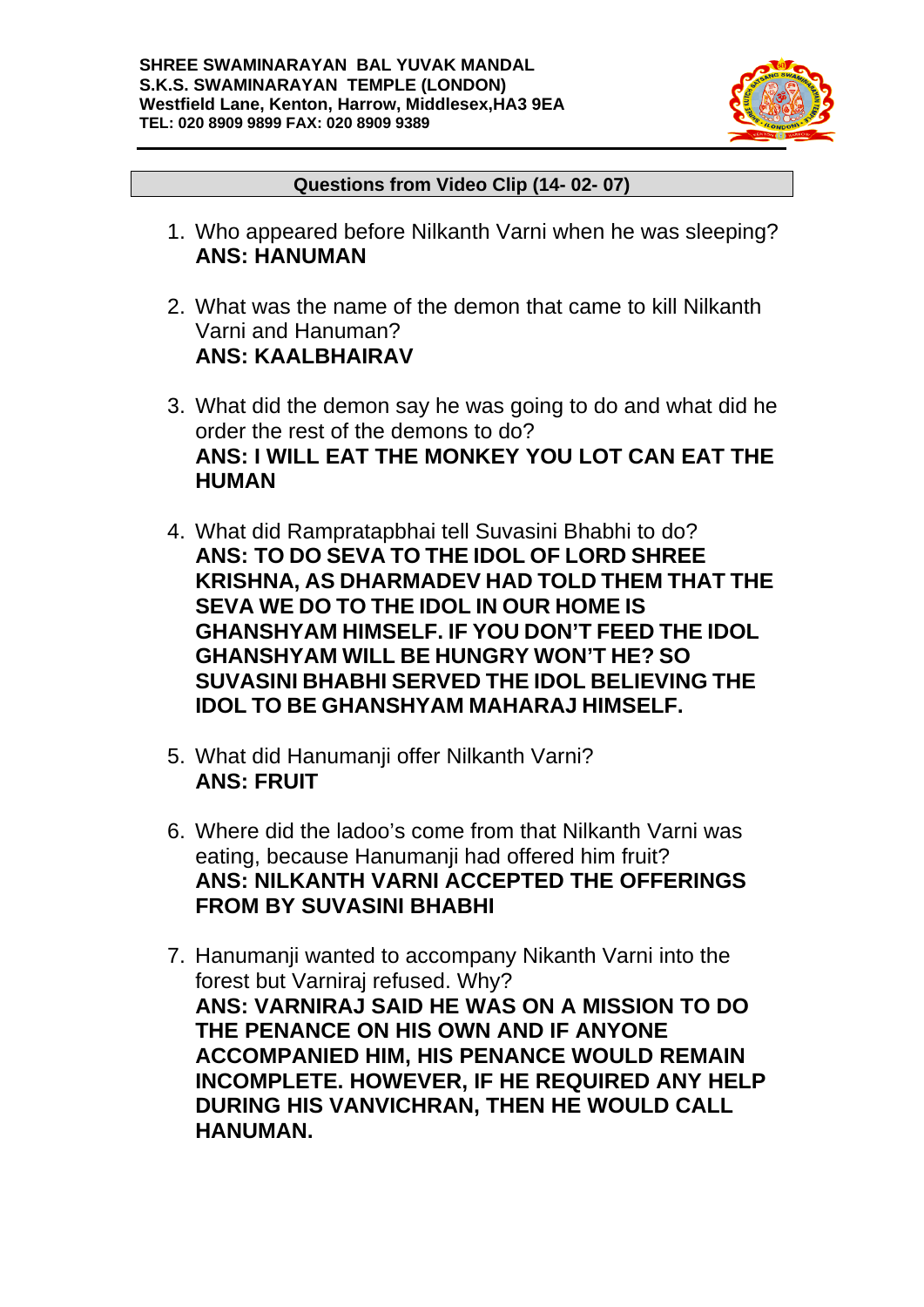

#### **Questions from Video Clip (14- 02- 07)**

- 1. Who appeared before Nilkanth Varni when he was sleeping? **ANS: HANUMAN**
- 2. What was the name of the demon that came to kill Nilkanth Varni and Hanuman? **ANS: KAALBHAIRAV**
- 3. What did the demon say he was going to do and what did he order the rest of the demons to do? **ANS: I WILL EAT THE MONKEY YOU LOT CAN EAT THE HUMAN**
- 4. What did Rampratapbhai tell Suvasini Bhabhi to do? **ANS: TO DO SEVA TO THE IDOL OF LORD SHREE KRISHNA, AS DHARMADEV HAD TOLD THEM THAT THE SEVA WE DO TO THE IDOL IN OUR HOME IS GHANSHYAM HIMSELF. IF YOU DON'T FEED THE IDOL GHANSHYAM WILL BE HUNGRY WON'T HE? SO SUVASINI BHABHI SERVED THE IDOL BELIEVING THE IDOL TO BE GHANSHYAM MAHARAJ HIMSELF.**
- 5. What did Hanumanji offer Nilkanth Varni? **ANS: FRUIT**
- 6. Where did the ladoo's come from that Nilkanth Varni was eating, because Hanumanji had offered him fruit? **ANS: NILKANTH VARNI ACCEPTED THE OFFERINGS FROM BY SUVASINI BHABHI**
- 7. Hanumanji wanted to accompany Nikanth Varni into the forest but Varniraj refused. Why? **ANS: VARNIRAJ SAID HE WAS ON A MISSION TO DO THE PENANCE ON HIS OWN AND IF ANYONE ACCOMPANIED HIM, HIS PENANCE WOULD REMAIN INCOMPLETE. HOWEVER, IF HE REQUIRED ANY HELP DURING HIS VANVICHRAN, THEN HE WOULD CALL HANUMAN.**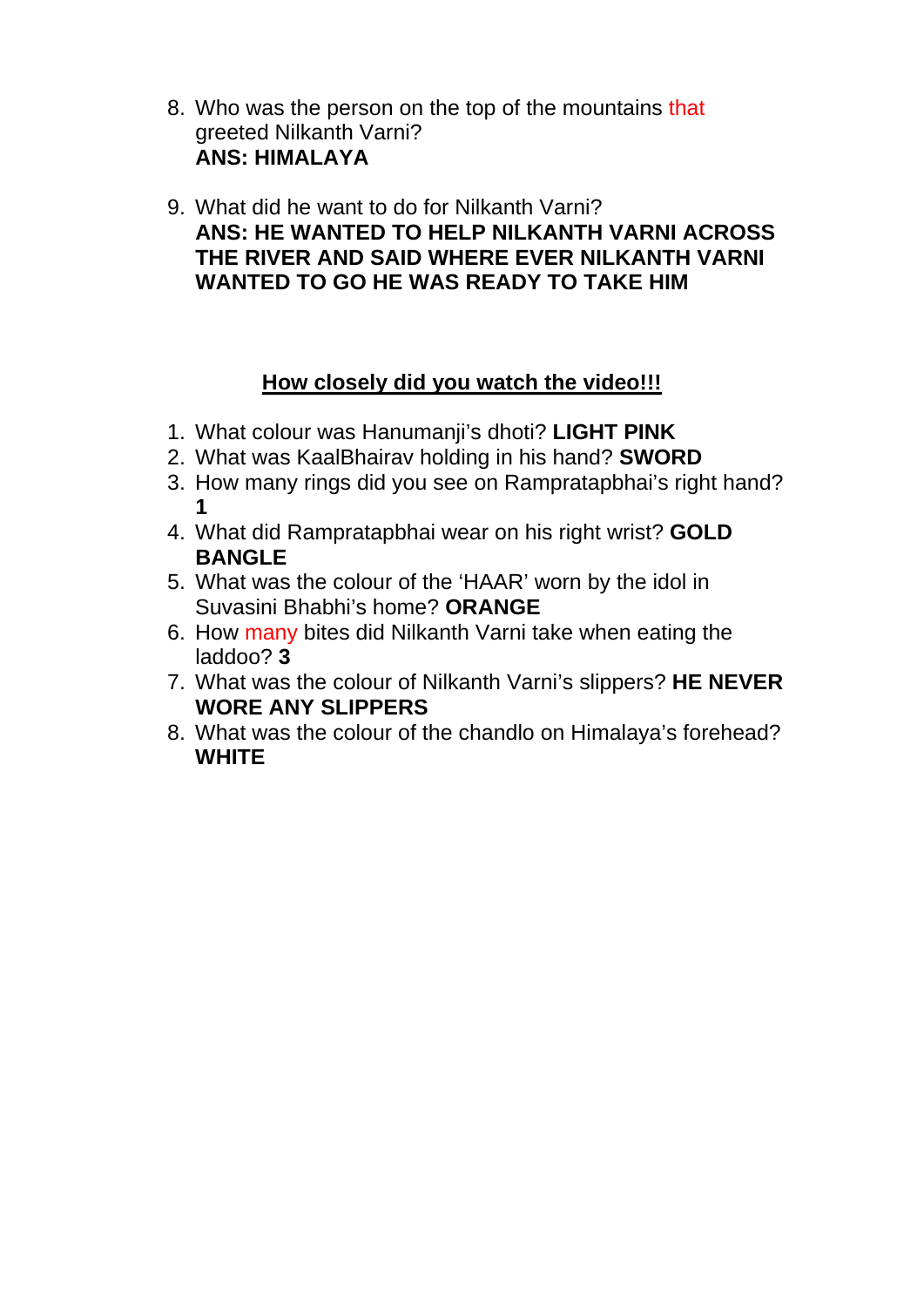- 8. Who was the person on the top of the mountains that greeted Nilkanth Varni? **ANS: HIMALAYA**
- 9. What did he want to do for Nilkanth Varni? **ANS: HE WANTED TO HELP NILKANTH VARNI ACROSS THE RIVER AND SAID WHERE EVER NILKANTH VARNI WANTED TO GO HE WAS READY TO TAKE HIM**

## **How closely did you watch the video!!!**

- 1. What colour was Hanumanji's dhoti? **LIGHT PINK**
- 2. What was KaalBhairav holding in his hand? **SWORD**
- 3. How many rings did you see on Rampratapbhai's right hand? **1**
- 4. What did Rampratapbhai wear on his right wrist? **GOLD BANGLE**
- 5. What was the colour of the 'HAAR' worn by the idol in Suvasini Bhabhi's home? **ORANGE**
- 6. How many bites did Nilkanth Varni take when eating the laddoo? **3**
- 7. What was the colour of Nilkanth Varni's slippers? **HE NEVER WORE ANY SLIPPERS**
- 8. What was the colour of the chandlo on Himalaya's forehead? **WHITE**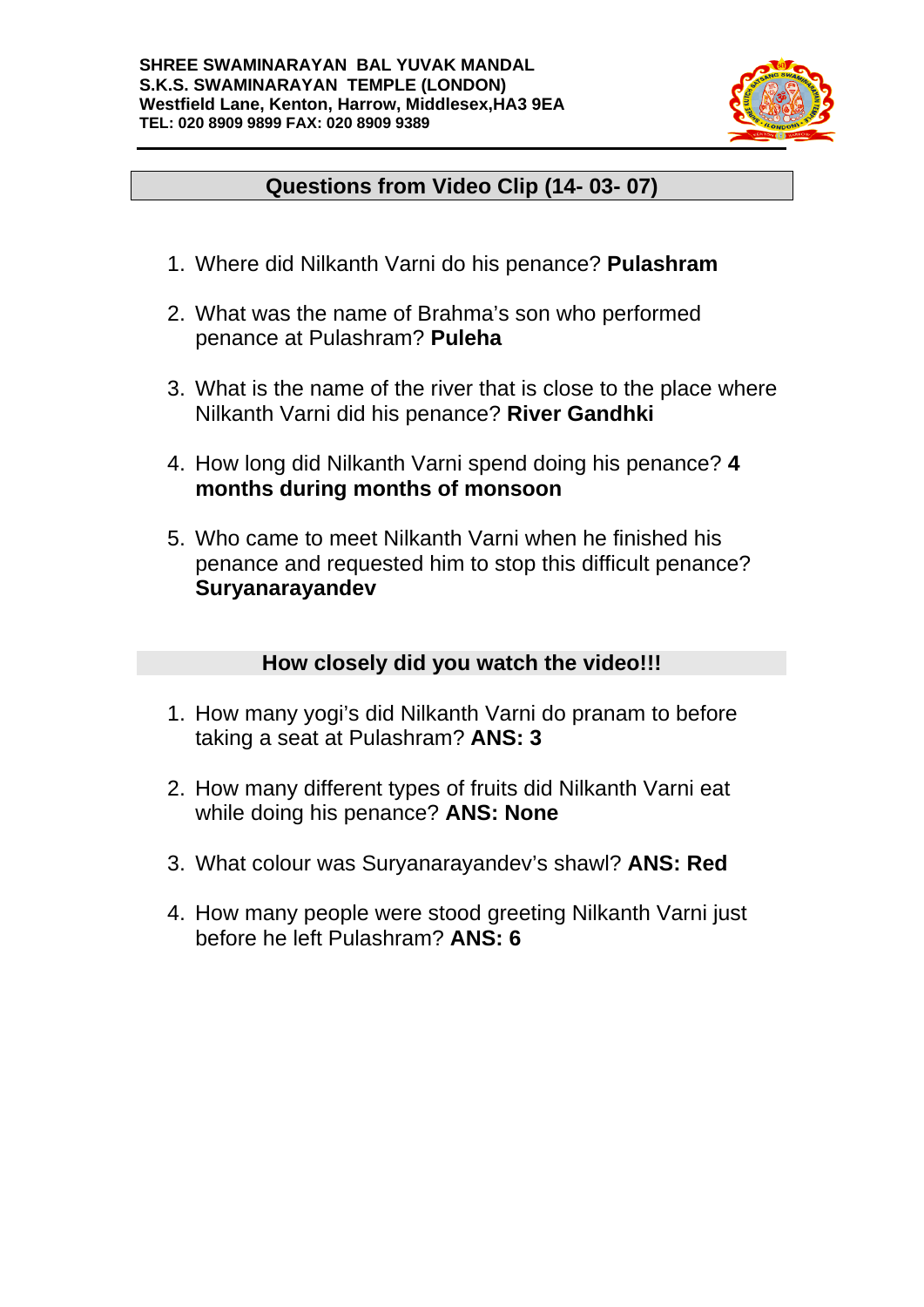

# **Questions from Video Clip (14- 03- 07)**

- 1. Where did Nilkanth Varni do his penance? **Pulashram**
- 2. What was the name of Brahma's son who performed penance at Pulashram? **Puleha**
- 3. What is the name of the river that is close to the place where Nilkanth Varni did his penance? **River Gandhki**
- 4. How long did Nilkanth Varni spend doing his penance? **4 months during months of monsoon**
- 5. Who came to meet Nilkanth Varni when he finished his penance and requested him to stop this difficult penance? **Suryanarayandev**

### **How closely did you watch the video!!!**

- 1. How many yogi's did Nilkanth Varni do pranam to before taking a seat at Pulashram? **ANS: 3**
- 2. How many different types of fruits did Nilkanth Varni eat while doing his penance? **ANS: None**
- 3. What colour was Suryanarayandev's shawl? **ANS: Red**
- 4. How many people were stood greeting Nilkanth Varni just before he left Pulashram? **ANS: 6**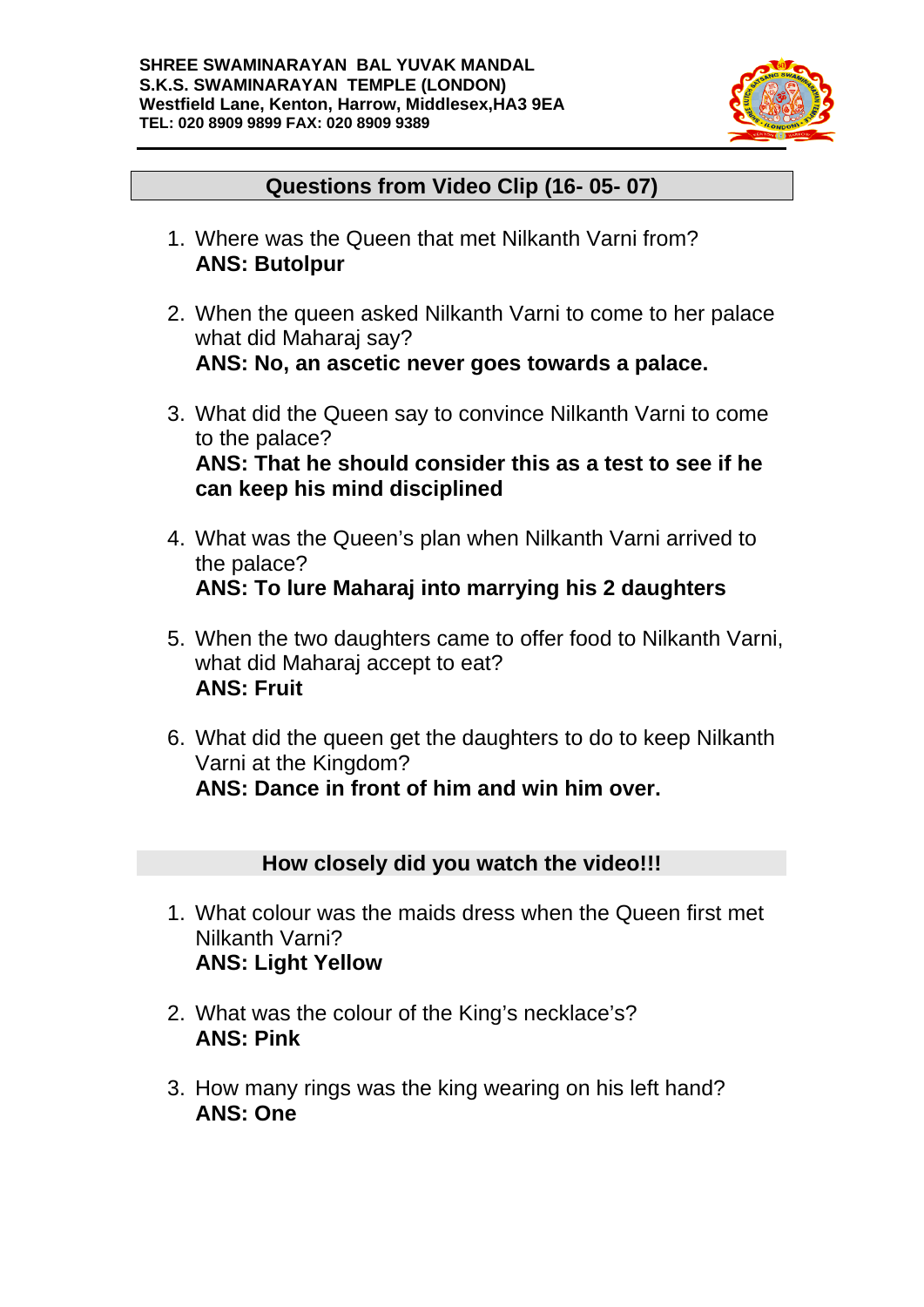

### **Questions from Video Clip (16- 05- 07)**

- 1. Where was the Queen that met Nilkanth Varni from? **ANS: Butolpur**
- 2. When the queen asked Nilkanth Varni to come to her palace what did Maharaj say? **ANS: No, an ascetic never goes towards a palace.**
- 3. What did the Queen say to convince Nilkanth Varni to come to the palace? **ANS: That he should consider this as a test to see if he can keep his mind disciplined**
- 4. What was the Queen's plan when Nilkanth Varni arrived to the palace? **ANS: To lure Maharaj into marrying his 2 daughters**
- 5. When the two daughters came to offer food to Nilkanth Varni, what did Maharaj accept to eat? **ANS: Fruit**
- 6. What did the queen get the daughters to do to keep Nilkanth Varni at the Kingdom? **ANS: Dance in front of him and win him over.**

### **How closely did you watch the video!!!**

- 1. What colour was the maids dress when the Queen first met Nilkanth Varni? **ANS: Light Yellow**
- 2. What was the colour of the King's necklace's? **ANS: Pink**
- 3. How many rings was the king wearing on his left hand? **ANS: One**